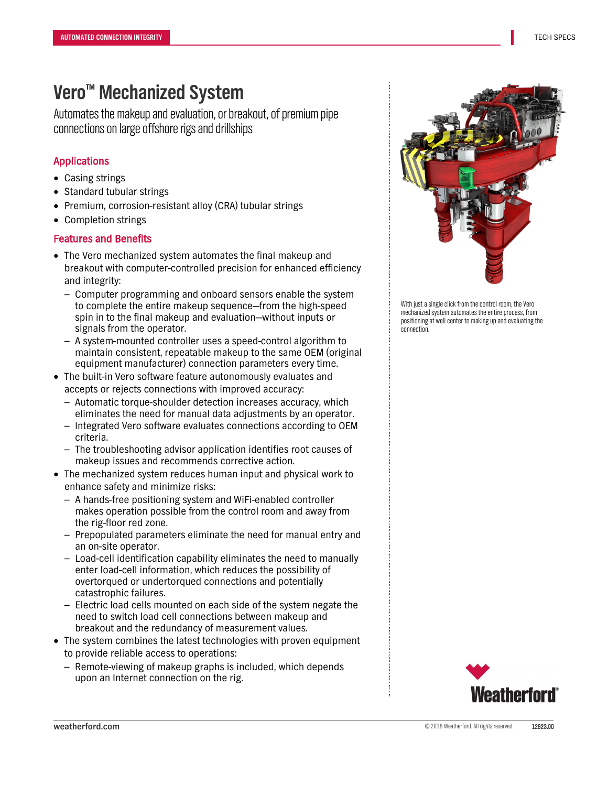# **Vero™ Mechanized System**

Automates the makeup and evaluation, or breakout, of premium pipe connections on large offshore rigs and drillships

### Applications

- Casing strings
- Standard tubular strings
- Premium, corrosion-resistant alloy (CRA) tubular strings
- Completion strings

### Features and Benefits

- The Vero mechanized system automates the final makeup and breakout with computer-controlled precision for enhanced efficiency and integrity:
	- Computer programming and onboard sensors enable the system to complete the entire makeup sequence—from the high-speed spin in to the final makeup and evaluation—without inputs or signals from the operator.
	- A system-mounted controller uses a speed-control algorithm to maintain consistent, repeatable makeup to the same OEM (original equipment manufacturer) connection parameters every time.
- The built-in Vero software feature autonomously evaluates and accepts or rejects connections with improved accuracy:
	- Automatic torque-shoulder detection increases accuracy, which eliminates the need for manual data adjustments by an operator. – Integrated Vero software evaluates connections according to OEM
	- criteria.
	- The troubleshooting advisor application identifies root causes of makeup issues and recommends corrective action.
- The mechanized system reduces human input and physical work to enhance safety and minimize risks:
	- A hands-free positioning system and WiFi-enabled controller makes operation possible from the control room and away from the rig-floor red zone.
	- Prepopulated parameters eliminate the need for manual entry and an on-site operator.
	- Load-cell identification capability eliminates the need to manually enter load-cell information, which reduces the possibility of overtorqued or undertorqued connections and potentially catastrophic failures.
	- Electric load cells mounted on each side of the system negate the need to switch load cell connections between makeup and breakout and the redundancy of measurement values.
- The system combines the latest technologies with proven equipment to provide reliable access to operations:
	- Remote-viewing of makeup graphs is included, which depends upon an Internet connection on the rig.



With just a single click from the control room, the Vero mechanized system automates the entire process, from positioning at well center to making up and evaluating the connection.